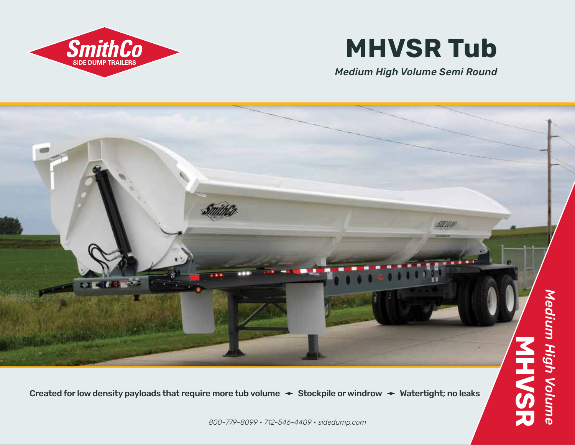

## **MHVSR Tub**

*Medium High Volume Semi Round*



Created for low density payloads that require more tub volume  $\rightarrow$  Stockpile or windrow  $\rightarrow$  Watertight; no leaks

*800-779-8099 • 712-546-4409 • sidedump.com*